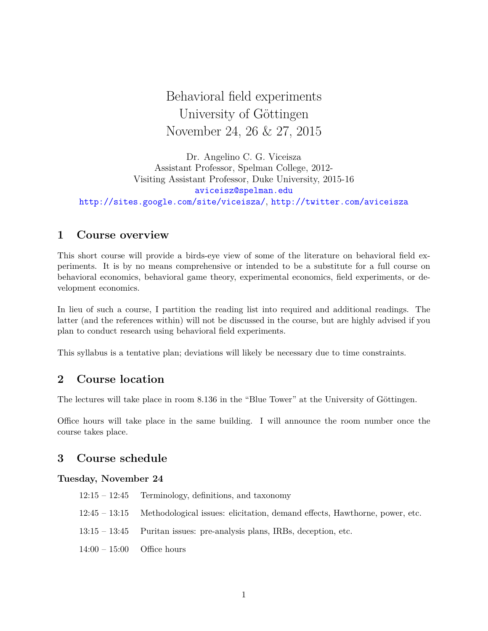Behavioral field experiments University of Göttingen November 24, 26 & 27, 2015

Dr. Angelino C. G. Viceisza Assistant Professor, Spelman College, 2012- Visiting Assistant Professor, Duke University, 2015-16 aviceisz@spelman.edu http://sites.google.com/site/viceisza/, http://twitter.com/aviceisza

# **1 Course overview**

This short course will provide a birds-eye view of some of the literature on behavioral field experiments. It is by no means comprehensive or intended to be a substitute for a full course on behavioral economics, behavioral game theory, experimental economics, field experiments, or development economics.

In lieu of such a course, I partition the reading list into required and additional readings. The latter (and the references within) will not be discussed in the course, but are highly advised if you plan to conduct research using behavioral field experiments.

This syllabus is a tentative plan; deviations will likely be necessary due to time constraints.

# **2 Course location**

The lectures will take place in room 8.136 in the "Blue Tower" at the University of Göttingen.

Office hours will take place in the same building. I will announce the room number once the course takes place.

### **3 Course schedule**

#### **Tuesday, November 24**

- 12:15 12:45 Terminology, definitions, and taxonomy
- 12:45 13:15 Methodological issues: elicitation, demand effects, Hawthorne, power, etc.
- 13:15 13:45 Puritan issues: pre-analysis plans, IRBs, deception, etc.
- $14:00 15:00$  Office hours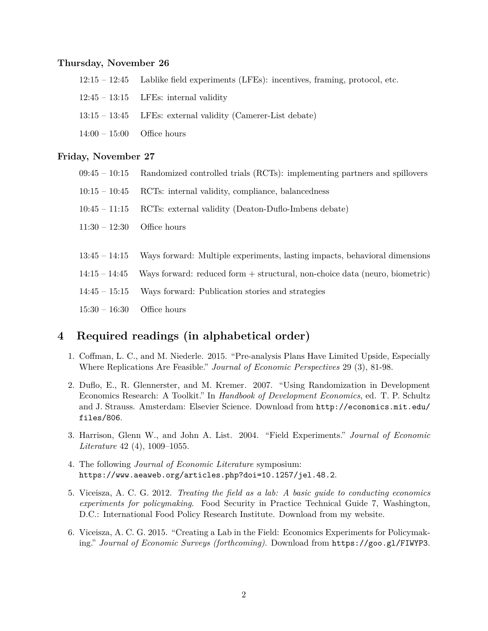#### **Thursday, November 26**

- 12:15 12:45 Lablike field experiments (LFEs): incentives, framing, protocol, etc.
- $12:45 13:15$  LFEs: internal validity
- 13:15 13:45 LFEs: external validity (Camerer-List debate)
- $14:00 15:00$  Office hours

#### **Friday, November 27**

- 09:45 10:15 Randomized controlled trials (RCTs): implementing partners and spillovers
- 10:15 10:45 RCTs: internal validity, compliance, balancedness
- 10:45 11:15 RCTs: external validity (Deaton-Duflo-Imbens debate)
- 11:30 12:30 Office hours
- 13:45 14:15 Ways forward: Multiple experiments, lasting impacts, behavioral dimensions
- 14:15 14:45 Ways forward: reduced form + structural, non-choice data (neuro, biometric)
- 14:45 15:15 Ways forward: Publication stories and strategies
- 15:30 16:30 Office hours

# **4 Required readings (in alphabetical order)**

- 1. Coffman, L. C., and M. Niederle. 2015. "Pre-analysis Plans Have Limited Upside, Especially Where Replications Are Feasible." *Journal of Economic Perspectives* 29 (3), 81-98.
- 2. Duflo, E., R. Glennerster, and M. Kremer. 2007. "Using Randomization in Development Economics Research: A Toolkit." In *Handbook of Development Economics*, ed. T. P. Schultz and J. Strauss. Amsterdam: Elsevier Science. Download from http://economics.mit.edu/ files/806.
- 3. Harrison, Glenn W., and John A. List. 2004. "Field Experiments." *Journal of Economic Literature* 42 (4), 1009–1055.
- 4. The following *Journal of Economic Literature* symposium: https://www.aeaweb.org/articles.php?doi=10.1257/jel.48.2.
- 5. Viceisza, A. C. G. 2012. *Treating the field as a lab: A basic guide to conducting economics experiments for policymaking*. Food Security in Practice Technical Guide 7, Washington, D.C.: International Food Policy Research Institute. Download from my website.
- 6. Viceisza, A. C. G. 2015. "Creating a Lab in the Field: Economics Experiments for Policymaking." *Journal of Economic Surveys (forthcoming)*. Download from https://goo.gl/FIWYP3.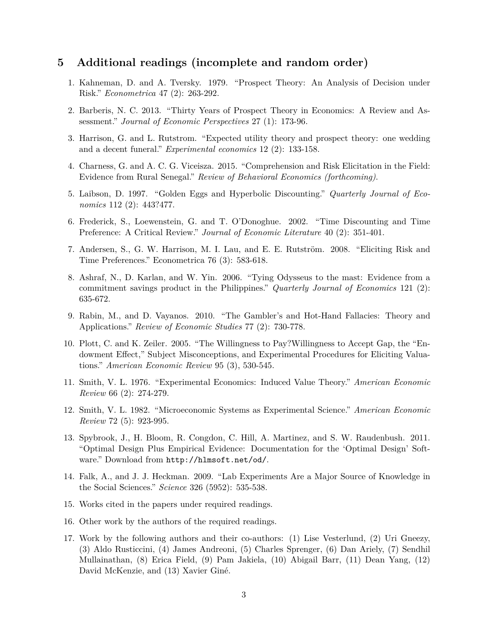### **5 Additional readings (incomplete and random order)**

- 1. Kahneman, D. and A. Tversky. 1979. "Prospect Theory: An Analysis of Decision under Risk." *Econometrica* 47 (2): 263-292.
- 2. Barberis, N. C. 2013. "Thirty Years of Prospect Theory in Economics: A Review and Assessment." *Journal of Economic Perspectives* 27 (1): 173-96.
- 3. Harrison, G. and L. Rutstrom. "Expected utility theory and prospect theory: one wedding and a decent funeral." *Experimental economics* 12 (2): 133-158.
- 4. Charness, G. and A. C. G. Viceisza. 2015. "Comprehension and Risk Elicitation in the Field: Evidence from Rural Senegal." *Review of Behavioral Economics (forthcoming)*.
- 5. Laibson, D. 1997. "Golden Eggs and Hyperbolic Discounting." *Quarterly Journal of Economics* 112 (2): 443?477.
- 6. Frederick, S., Loewenstein, G. and T. O'Donoghue. 2002. "Time Discounting and Time Preference: A Critical Review." *Journal of Economic Literature* 40 (2): 351-401.
- 7. Andersen, S., G. W. Harrison, M. I. Lau, and E. E. Rutström. 2008. "Eliciting Risk and Time Preferences." Econometrica 76 (3): 583-618.
- 8. Ashraf, N., D. Karlan, and W. Yin. 2006. "Tying Odysseus to the mast: Evidence from a commitment savings product in the Philippines." *Quarterly Journal of Economics* 121 (2): 635-672.
- 9. Rabin, M., and D. Vayanos. 2010. "The Gambler's and Hot-Hand Fallacies: Theory and Applications." *Review of Economic Studies* 77 (2): 730-778.
- 10. Plott, C. and K. Zeiler. 2005. "The Willingness to Pay?Willingness to Accept Gap, the "Endowment Effect," Subject Misconceptions, and Experimental Procedures for Eliciting Valuations." *American Economic Review* 95 (3), 530-545.
- 11. Smith, V. L. 1976. "Experimental Economics: Induced Value Theory." *American Economic Review* 66 (2): 274-279.
- 12. Smith, V. L. 1982. "Microeconomic Systems as Experimental Science." *American Economic Review* 72 (5): 923-995.
- 13. Spybrook, J., H. Bloom, R. Congdon, C. Hill, A. Martinez, and S. W. Raudenbush. 2011. "Optimal Design Plus Empirical Evidence: Documentation for the 'Optimal Design' Software." Download from http://hlmsoft.net/od/.
- 14. Falk, A., and J. J. Heckman. 2009. "Lab Experiments Are a Major Source of Knowledge in the Social Sciences." *Science* 326 (5952): 535-538.
- 15. Works cited in the papers under required readings.
- 16. Other work by the authors of the required readings.
- 17. Work by the following authors and their co-authors: (1) Lise Vesterlund, (2) Uri Gneezy, (3) Aldo Rusticcini, (4) James Andreoni, (5) Charles Sprenger, (6) Dan Ariely, (7) Sendhil Mullainathan, (8) Erica Field, (9) Pam Jakiela, (10) Abigail Barr, (11) Dean Yang, (12) David McKenzie, and (13) Xavier Giné.